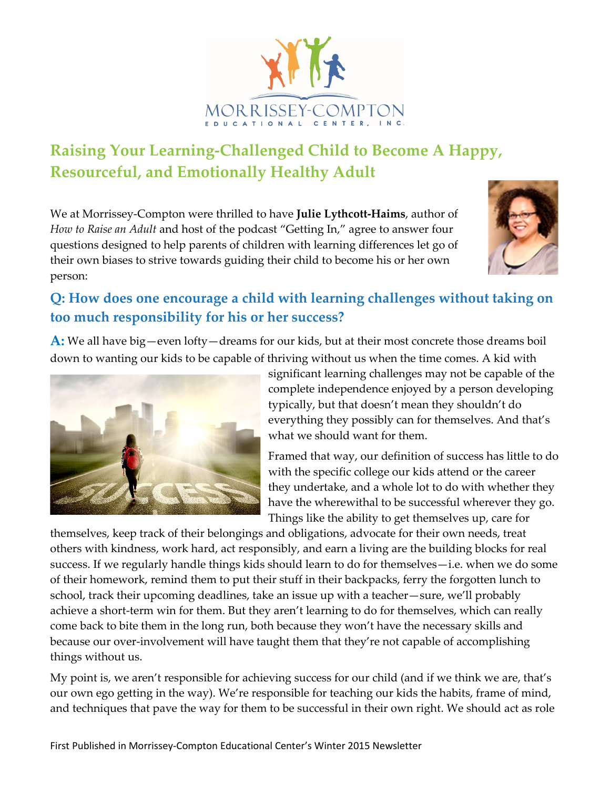

# **Raising Your Learning-Challenged Child to Become A Happy, Resourceful, and Emotionally Healthy Adult**

We at Morrissey-Compton were thrilled to have **Julie Lythcott-Haims**, author of *How to Raise an Adult* and host of the podcast "Getting In," agree to answer four questions designed to help parents of children with learning differences let go of their own biases to strive towards guiding their child to become his or her own person:



### **Q: How does one encourage a child with learning challenges without taking on too much responsibility for his or her success?**

**A:** We all have big—even lofty—dreams for our kids, but at their most concrete those dreams boil down to wanting our kids to be capable of thriving without us when the time comes. A kid with



significant learning challenges may not be capable of the complete independence enjoyed by a person developing typically, but that doesn't mean they shouldn't do everything they possibly can for themselves. And that's what we should want for them.

Framed that way, our definition of success has little to do with the specific college our kids attend or the career they undertake, and a whole lot to do with whether they have the wherewithal to be successful wherever they go. Things like the ability to get themselves up, care for

themselves, keep track of their belongings and obligations, advocate for their own needs, treat others with kindness, work hard, act responsibly, and earn a living are the building blocks for real success. If we regularly handle things kids should learn to do for themselves—i.e. when we do some of their homework, remind them to put their stuff in their backpacks, ferry the forgotten lunch to school, track their upcoming deadlines, take an issue up with a teacher—sure, we'll probably achieve a short-term win for them. But they aren't learning to do for themselves, which can really come back to bite them in the long run, both because they won't have the necessary skills and because our over-involvement will have taught them that they're not capable of accomplishing things without us.

My point is, we aren't responsible for achieving success for our child (and if we think we are, that's our own ego getting in the way). We're responsible for teaching our kids the habits, frame of mind, and techniques that pave the way for them to be successful in their own right. We should act as role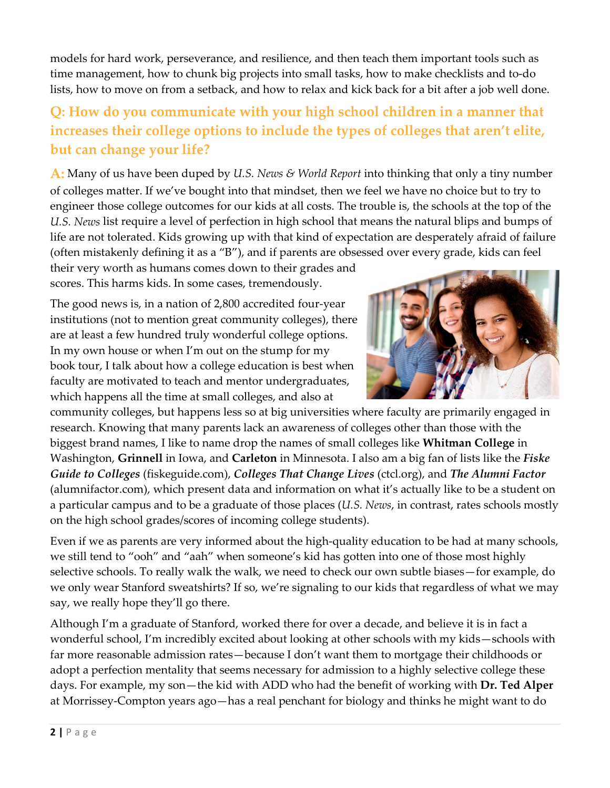models for hard work, perseverance, and resilience, and then teach them important tools such as time management, how to chunk big projects into small tasks, how to make checklists and to-do lists, how to move on from a setback, and how to relax and kick back for a bit after a job well done.

# **Q: How do you communicate with your high school children in a manner that increases their college options to include the types of colleges that aren't elite, but can change your life?**

**A:** Many of us have been duped by *U.S. News & World Report* into thinking that only a tiny number of colleges matter. If we've bought into that mindset, then we feel we have no choice but to try to engineer those college outcomes for our kids at all costs. The trouble is, the schools at the top of the *U.S. News* list require a level of perfection in high school that means the natural blips and bumps of life are not tolerated. Kids growing up with that kind of expectation are desperately afraid of failure (often mistakenly defining it as a "B"), and if parents are obsessed over every grade, kids can feel

their very worth as humans comes down to their grades and scores. This harms kids. In some cases, tremendously.

The good news is, in a nation of 2,800 accredited four-year institutions (not to mention great community colleges), there are at least a few hundred truly wonderful college options. In my own house or when I'm out on the stump for my book tour, I talk about how a college education is best when faculty are motivated to teach and mentor undergraduates, which happens all the time at small colleges, and also at



community colleges, but happens less so at big universities where faculty are primarily engaged in research. Knowing that many parents lack an awareness of colleges other than those with the biggest brand names, I like to name drop the names of small colleges like **Whitman College** in Washington, **Grinnell** in Iowa, and **Carleton** in Minnesota. I also am a big fan of lists like the *Fiske Guide to Colleges* (fiskeguide.com), *Colleges That Change Lives* (ctcl.org), and *The Alumni Factor*  (alumnifactor.com), which present data and information on what it's actually like to be a student on a particular campus and to be a graduate of those places (*U.S. News*, in contrast, rates schools mostly on the high school grades/scores of incoming college students).

Even if we as parents are very informed about the high-quality education to be had at many schools, we still tend to "ooh" and "aah" when someone's kid has gotten into one of those most highly selective schools. To really walk the walk, we need to check our own subtle biases—for example, do we only wear Stanford sweatshirts? If so, we're signaling to our kids that regardless of what we may say, we really hope they'll go there.

Although I'm a graduate of Stanford, worked there for over a decade, and believe it is in fact a wonderful school, I'm incredibly excited about looking at other schools with my kids—schools with far more reasonable admission rates—because I don't want them to mortgage their childhoods or adopt a perfection mentality that seems necessary for admission to a highly selective college these days. For example, my son—the kid with ADD who had the benefit of working with **Dr. Ted Alper** at Morrissey-Compton years ago—has a real penchant for biology and thinks he might want to do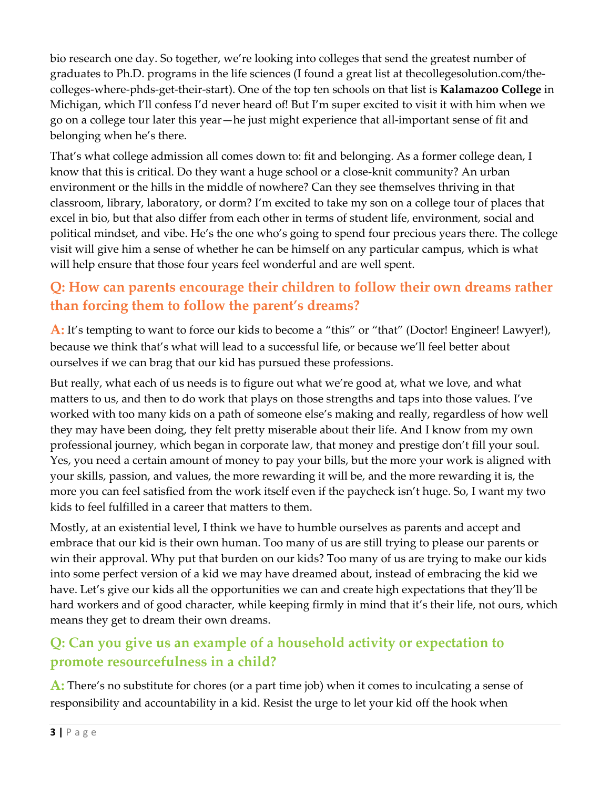bio research one day. So together, we're looking into colleges that send the greatest number of graduates to Ph.D. programs in the life sciences (I found a great list at thecollegesolution.com/thecolleges-where-phds-get-their-start). One of the top ten schools on that list is **Kalamazoo College** in Michigan, which I'll confess I'd never heard of! But I'm super excited to visit it with him when we go on a college tour later this year—he just might experience that all-important sense of fit and belonging when he's there.

That's what college admission all comes down to: fit and belonging. As a former college dean, I know that this is critical. Do they want a huge school or a close-knit community? An urban environment or the hills in the middle of nowhere? Can they see themselves thriving in that classroom, library, laboratory, or dorm? I'm excited to take my son on a college tour of places that excel in bio, but that also differ from each other in terms of student life, environment, social and political mindset, and vibe. He's the one who's going to spend four precious years there. The college visit will give him a sense of whether he can be himself on any particular campus, which is what will help ensure that those four years feel wonderful and are well spent.

# **Q: How can parents encourage their children to follow their own dreams rather than forcing them to follow the parent's dreams?**

**A:** It's tempting to want to force our kids to become a "this" or "that" (Doctor! Engineer! Lawyer!), because we think that's what will lead to a successful life, or because we'll feel better about ourselves if we can brag that our kid has pursued these professions.

But really, what each of us needs is to figure out what we're good at, what we love, and what matters to us, and then to do work that plays on those strengths and taps into those values. I've worked with too many kids on a path of someone else's making and really, regardless of how well they may have been doing, they felt pretty miserable about their life. And I know from my own professional journey, which began in corporate law, that money and prestige don't fill your soul. Yes, you need a certain amount of money to pay your bills, but the more your work is aligned with your skills, passion, and values, the more rewarding it will be, and the more rewarding it is, the more you can feel satisfied from the work itself even if the paycheck isn't huge. So, I want my two kids to feel fulfilled in a career that matters to them.

Mostly, at an existential level, I think we have to humble ourselves as parents and accept and embrace that our kid is their own human. Too many of us are still trying to please our parents or win their approval. Why put that burden on our kids? Too many of us are trying to make our kids into some perfect version of a kid we may have dreamed about, instead of embracing the kid we have. Let's give our kids all the opportunities we can and create high expectations that they'll be hard workers and of good character, while keeping firmly in mind that it's their life, not ours, which means they get to dream their own dreams.

#### **Q: Can you give us an example of a household activity or expectation to promote resourcefulness in a child?**

**A:** There's no substitute for chores (or a part time job) when it comes to inculcating a sense of responsibility and accountability in a kid. Resist the urge to let your kid off the hook when